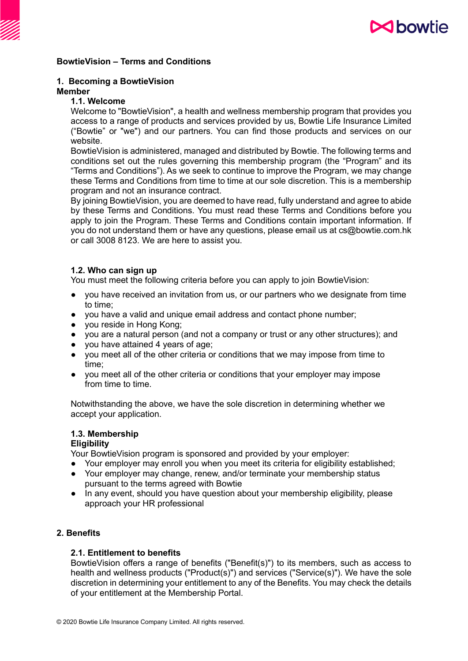

## **BowtieVision – Terms and Conditions**

## **1. Becoming a BowtieVision**

#### **Member**

# **1.1. Welcome**

Welcome to "BowtieVision", a health and wellness membership program that provides you access to a range of products and services provided by us, Bowtie Life Insurance Limited ("Bowtie" or "we") and our partners. You can find those products and services on our website.

BowtieVision is administered, managed and distributed by Bowtie. The following terms and conditions set out the rules governing this membership program (the "Program" and its "Terms and Conditions"). As we seek to continue to improve the Program, we may change these Terms and Conditions from time to time at our sole discretion. This is a membership program and not an insurance contract.

By joining BowtieVision, you are deemed to have read, fully understand and agree to abide by these Terms and Conditions. You must read these Terms and Conditions before you apply to join the Program. These Terms and Conditions contain important information. If you do not understand them or have any questions, please email us at cs@bowtie.com.hk or call 3008 8123. We are here to assist you.

## **1.2. Who can sign up**

You must meet the following criteria before you can apply to join BowtieVision:

- you have received an invitation from us, or our partners who we designate from time to time;
- you have a valid and unique email address and contact phone number;
- you reside in Hong Kong;
- you are a natural person (and not a company or trust or any other structures); and
- you have attained 4 years of age;
- you meet all of the other criteria or conditions that we may impose from time to time;
- you meet all of the other criteria or conditions that your employer may impose from time to time.

Notwithstanding the above, we have the sole discretion in determining whether we accept your application.

# **1.3. Membership**

## **Eligibility**

Your BowtieVision program is sponsored and provided by your employer:

- Your employer may enroll you when you meet its criteria for eligibility established;
- Your employer may change, renew, and/or terminate your membership status pursuant to the terms agreed with Bowtie
- In any event, should you have question about your membership eligibility, please approach your HR professional

# **2. Benefits**

## **2.1. Entitlement to benefits**

BowtieVision offers a range of benefits ("Benefit(s)") to its members, such as access to health and wellness products ("Product(s)") and services ("Service(s)"). We have the sole discretion in determining your entitlement to any of the Benefits. You may check the details of your entitlement at the Membership Portal.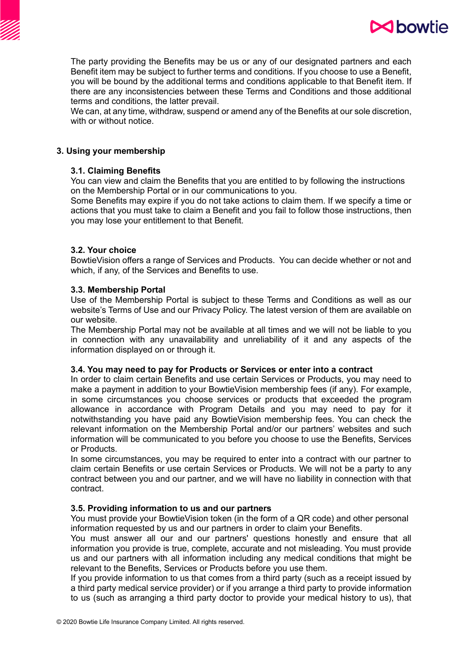



The party providing the Benefits may be us or any of our designated partners and each Benefit item may be subject to further terms and conditions. If you choose to use a Benefit, you will be bound by the additional terms and conditions applicable to that Benefit item. If there are any inconsistencies between these Terms and Conditions and those additional terms and conditions, the latter prevail.

We can, at any time, withdraw, suspend or amend any of the Benefits at our sole discretion, with or without notice.

## **3. Using your membership**

## **3.1. Claiming Benefits**

You can view and claim the Benefits that you are entitled to by following the instructions on the Membership Portal or in our communications to you.

Some Benefits may expire if you do not take actions to claim them. If we specify a time or actions that you must take to claim a Benefit and you fail to follow those instructions, then you may lose your entitlement to that Benefit.

## **3.2. Your choice**

BowtieVision offers a range of Services and Products. You can decide whether or not and which, if any, of the Services and Benefits to use.

## **3.3. Membership Portal**

Use of the Membership Portal is subject to these Terms and Conditions as well as our website's Terms of Use and our Privacy Policy. The latest version of them are available on our website.

The Membership Portal may not be available at all times and we will not be liable to you in connection with any unavailability and unreliability of it and any aspects of the information displayed on or through it.

## **3.4. You may need to pay for Products or Services or enter into a contract**

In order to claim certain Benefits and use certain Services or Products, you may need to make a payment in addition to your BowtieVision membership fees (if any). For example, in some circumstances you choose services or products that exceeded the program allowance in accordance with Program Details and you may need to pay for it notwithstanding you have paid any BowtieVision membership fees. You can check the relevant information on the Membership Portal and/or our partners' websites and such information will be communicated to you before you choose to use the Benefits, Services or Products.

In some circumstances, you may be required to enter into a contract with our partner to claim certain Benefits or use certain Services or Products. We will not be a party to any contract between you and our partner, and we will have no liability in connection with that contract.

# **3.5. Providing information to us and our partners**

You must provide your BowtieVision token (in the form of a QR code) and other personal information requested by us and our partners in order to claim your Benefits.

You must answer all our and our partners' questions honestly and ensure that all information you provide is true, complete, accurate and not misleading. You must provide us and our partners with all information including any medical conditions that might be relevant to the Benefits, Services or Products before you use them.

If you provide information to us that comes from a third party (such as a receipt issued by a third party medical service provider) or if you arrange a third party to provide information to us (such as arranging a third party doctor to provide your medical history to us), that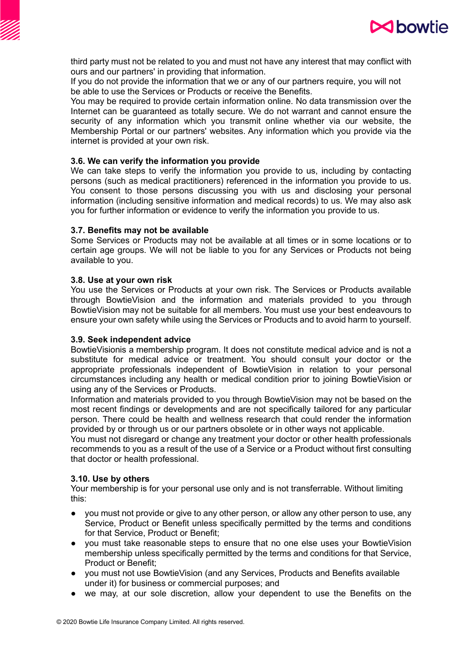

third party must not be related to you and must not have any interest that may conflict with ours and our partners' in providing that information.

If you do not provide the information that we or any of our partners require, you will not be able to use the Services or Products or receive the Benefits.

You may be required to provide certain information online. No data transmission over the Internet can be guaranteed as totally secure. We do not warrant and cannot ensure the security of any information which you transmit online whether via our website, the Membership Portal or our partners' websites. Any information which you provide via the internet is provided at your own risk.

## **3.6. We can verify the information you provide**

We can take steps to verify the information you provide to us, including by contacting persons (such as medical practitioners) referenced in the information you provide to us. You consent to those persons discussing you with us and disclosing your personal information (including sensitive information and medical records) to us. We may also ask you for further information or evidence to verify the information you provide to us.

#### **3.7. Benefits may not be available**

Some Services or Products may not be available at all times or in some locations or to certain age groups. We will not be liable to you for any Services or Products not being available to you.

#### **3.8. Use at your own risk**

You use the Services or Products at your own risk. The Services or Products available through BowtieVision and the information and materials provided to you through BowtieVision may not be suitable for all members. You must use your best endeavours to ensure your own safety while using the Services or Products and to avoid harm to yourself.

## **3.9. Seek independent advice**

BowtieVisionis a membership program. It does not constitute medical advice and is not a substitute for medical advice or treatment. You should consult your doctor or the appropriate professionals independent of BowtieVision in relation to your personal circumstances including any health or medical condition prior to joining BowtieVision or using any of the Services or Products.

Information and materials provided to you through BowtieVision may not be based on the most recent findings or developments and are not specifically tailored for any particular person. There could be health and wellness research that could render the information provided by or through us or our partners obsolete or in other ways not applicable.

You must not disregard or change any treatment your doctor or other health professionals recommends to you as a result of the use of a Service or a Product without first consulting that doctor or health professional.

#### **3.10. Use by others**

Your membership is for your personal use only and is not transferrable. Without limiting this:

- you must not provide or give to any other person, or allow any other person to use, any Service, Product or Benefit unless specifically permitted by the terms and conditions for that Service, Product or Benefit;
- you must take reasonable steps to ensure that no one else uses your BowtieVision membership unless specifically permitted by the terms and conditions for that Service, Product or Benefit;
- you must not use BowtieVision (and any Services, Products and Benefits available under it) for business or commercial purposes; and
- we may, at our sole discretion, allow your dependent to use the Benefits on the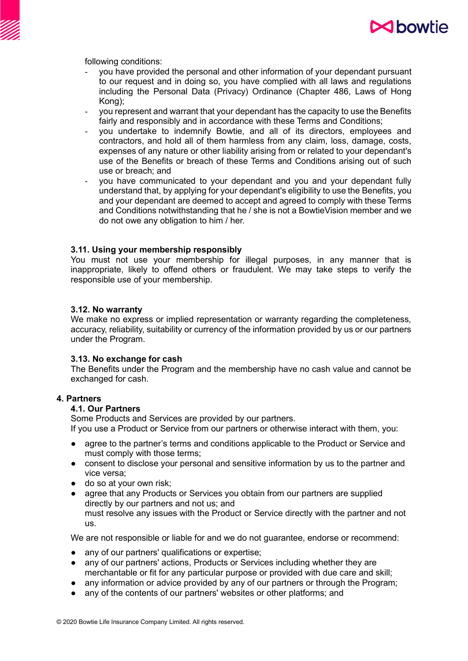

following conditions:

- you have provided the personal and other information of your dependant pursuant to our request and in doing so, you have complied with all laws and regulations including the Personal Data (Privacy) Ordinance (Chapter 486, Laws of Hong Kong);
- you represent and warrant that your dependant has the capacity to use the Benefits fairly and responsibly and in accordance with these Terms and Conditions;
- you undertake to indemnify Bowtie, and all of its directors, employees and contractors, and hold all of them harmless from any claim, loss, damage, costs, expenses of any nature or other liability arising from or related to your dependant's use of the Benefits or breach of these Terms and Conditions arising out of such use or breach; and
- you have communicated to your dependant and you and your dependant fully understand that, by applying for your dependant's eligibility to use the Benefits, you and your dependant are deemed to accept and agreed to comply with these Terms and Conditions notwithstanding that he / she is not a BowtieVision member and we do not owe any obligation to him / her.

#### **3.11. Using your membership responsibly**

You must not use your membership for illegal purposes, in any manner that is inappropriate, likely to offend others or fraudulent. We may take steps to verify the responsible use of your membership.

#### **3.12. No warranty**

We make no express or implied representation or warranty regarding the completeness, accuracy, reliability, suitability or currency of the information provided by us or our partners under the Program.

## **3.13. No exchange for cash**

The Benefits under the Program and the membership have no cash value and cannot be exchanged for cash.

## **4. Partners**

## **4.1. Our Partners**

Some Products and Services are provided by our partners. If you use a Product or Service from our partners or otherwise interact with them, you:

- agree to the partner's terms and conditions applicable to the Product or Service and must comply with those terms;
- consent to disclose your personal and sensitive information by us to the partner and vice versa;
- do so at your own risk;
- agree that any Products or Services you obtain from our partners are supplied directly by our partners and not us; and must resolve any issues with the Product or Service directly with the partner and not us.

We are not responsible or liable for and we do not quarantee, endorse or recommend:

- any of our partners' qualifications or expertise;
- any of our partners' actions, Products or Services including whether they are merchantable or fit for any particular purpose or provided with due care and skill;
- any information or advice provided by any of our partners or through the Program;
- any of the contents of our partners' websites or other platforms; and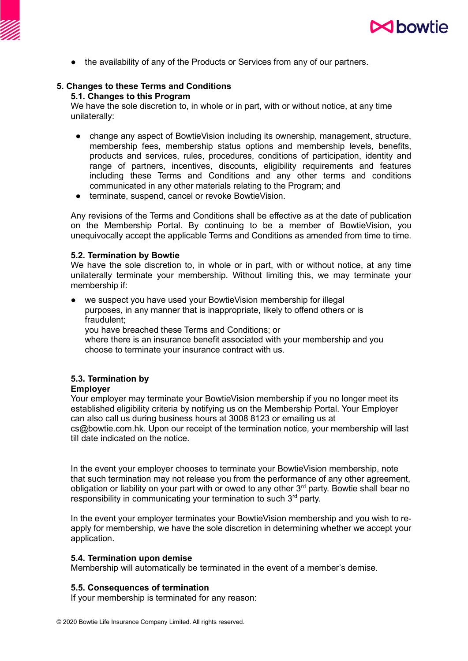

● the availability of any of the Products or Services from any of our partners.

# **5. Changes to these Terms and Conditions**

# **5.1. Changes to this Program**

We have the sole discretion to, in whole or in part, with or without notice, at any time unilaterally:

- change any aspect of BowtieVision including its ownership, management, structure, membership fees, membership status options and membership levels, benefits, products and services, rules, procedures, conditions of participation, identity and range of partners, incentives, discounts, eligibility requirements and features including these Terms and Conditions and any other terms and conditions communicated in any other materials relating to the Program; and
- terminate, suspend, cancel or revoke BowtieVision.

Any revisions of the Terms and Conditions shall be effective as at the date of publication on the Membership Portal. By continuing to be a member of BowtieVision, you unequivocally accept the applicable Terms and Conditions as amended from time to time.

## **5.2. Termination by Bowtie**

We have the sole discretion to, in whole or in part, with or without notice, at any time unilaterally terminate your membership. Without limiting this, we may terminate your membership if:

we suspect you have used your BowtieVision membership for illegal purposes, in any manner that is inappropriate, likely to offend others or is fraudulent; you have breached these Terms and Conditions; or

where there is an insurance benefit associated with your membership and you choose to terminate your insurance contract with us.

# **5.3. Termination by**

# **Employer**

Your employer may terminate your BowtieVision membership if you no longer meet its established eligibility criteria by notifying us on the Membership Portal. Your Employer can also call us during business hours at 3008 8123 or emailing us at cs@bowtie.com.hk. Upon our receipt of the termination notice, your membership will last till date indicated on the notice.

In the event your employer chooses to terminate your BowtieVision membership, note that such termination may not release you from the performance of any other agreement, obligation or liability on your part with or owed to any other 3<sup>rd</sup> party. Bowtie shall bear no responsibility in communicating your termination to such 3<sup>rd</sup> party.

In the event your employer terminates your BowtieVision membership and you wish to reapply for membership, we have the sole discretion in determining whether we accept your application.

## **5.4. Termination upon demise**

Membership will automatically be terminated in the event of a member's demise.

# **5.5. Consequences of termination**

If your membership is terminated for any reason: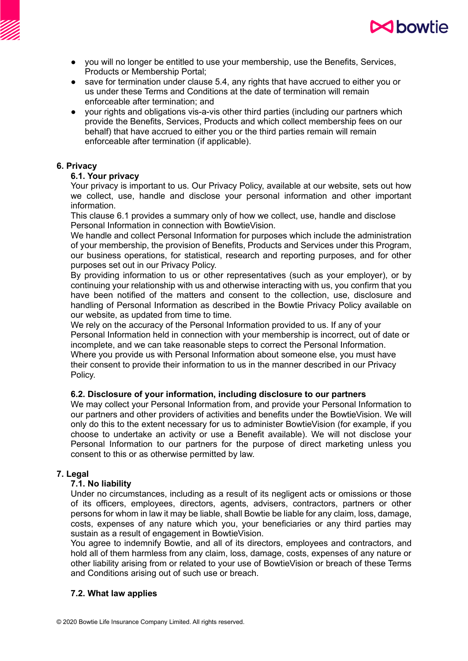

- you will no longer be entitled to use your membership, use the Benefits, Services, Products or Membership Portal;
- save for termination under clause 5.4, any rights that have accrued to either you or us under these Terms and Conditions at the date of termination will remain enforceable after termination; and
- your rights and obligations vis-a-vis other third parties (including our partners which provide the Benefits, Services, Products and which collect membership fees on our behalf) that have accrued to either you or the third parties remain will remain enforceable after termination (if applicable).

## **6. Privacy**

## **6.1. Your privacy**

Your privacy is important to us. Our Privacy Policy, available at our website, sets out how we collect, use, handle and disclose your personal information and other important information.

This clause 6.1 provides a summary only of how we collect, use, handle and disclose Personal Information in connection with BowtieVision.

We handle and collect Personal Information for purposes which include the administration of your membership, the provision of Benefits, Products and Services under this Program, our business operations, for statistical, research and reporting purposes, and for other purposes set out in our Privacy Policy.

By providing information to us or other representatives (such as your employer), or by continuing your relationship with us and otherwise interacting with us, you confirm that you have been notified of the matters and consent to the collection, use, disclosure and handling of Personal Information as described in the Bowtie Privacy Policy available on our website, as updated from time to time.

We rely on the accuracy of the Personal Information provided to us. If any of your Personal Information held in connection with your membership is incorrect, out of date or incomplete, and we can take reasonable steps to correct the Personal Information. Where you provide us with Personal Information about someone else, you must have their consent to provide their information to us in the manner described in our Privacy Policy.

# **6.2. Disclosure of your information, including disclosure to our partners**

We may collect your Personal Information from, and provide your Personal Information to our partners and other providers of activities and benefits under the BowtieVision. We will only do this to the extent necessary for us to administer BowtieVision (for example, if you choose to undertake an activity or use a Benefit available). We will not disclose your Personal Information to our partners for the purpose of direct marketing unless you consent to this or as otherwise permitted by law.

## **7. Legal**

# **7.1. No liability**

Under no circumstances, including as a result of its negligent acts or omissions or those of its officers, employees, directors, agents, advisers, contractors, partners or other persons for whom in law it may be liable, shall Bowtie be liable for any claim, loss, damage, costs, expenses of any nature which you, your beneficiaries or any third parties may sustain as a result of engagement in BowtieVision.

You agree to indemnify Bowtie, and all of its directors, employees and contractors, and hold all of them harmless from any claim, loss, damage, costs, expenses of any nature or other liability arising from or related to your use of BowtieVision or breach of these Terms and Conditions arising out of such use or breach.

# **7.2. What law applies**